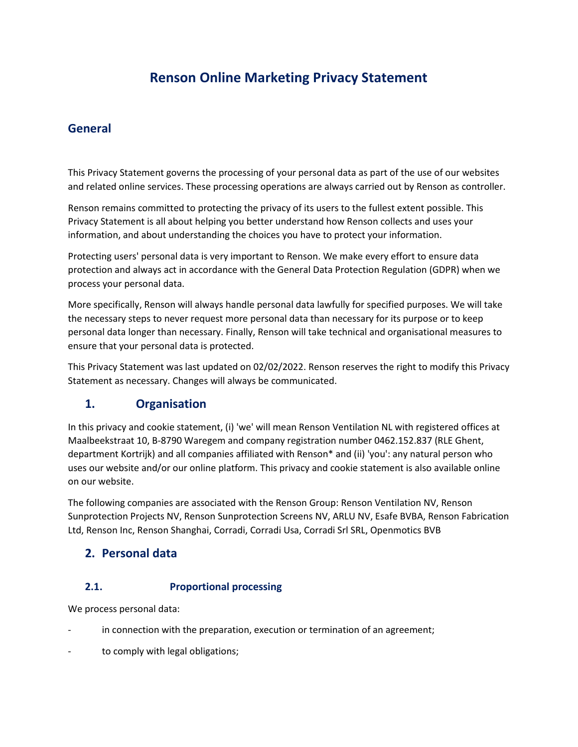# **Renson Online Marketing Privacy Statement**

# **General**

This Privacy Statement governs the processing of your personal data as part of the use of our websites and related online services. These processing operations are always carried out by Renson as controller.

Renson remains committed to protecting the privacy of its users to the fullest extent possible. This Privacy Statement is all about helping you better understand how Renson collects and uses your information, and about understanding the choices you have to protect your information.

Protecting users' personal data is very important to Renson. We make every effort to ensure data protection and always act in accordance with the General Data Protection Regulation (GDPR) when we process your personal data.

More specifically, Renson will always handle personal data lawfully for specified purposes. We will take the necessary steps to never request more personal data than necessary for its purpose or to keep personal data longer than necessary. Finally, Renson will take technical and organisational measures to ensure that your personal data is protected.

This Privacy Statement was last updated on 02/02/2022. Renson reserves the right to modify this Privacy Statement as necessary. Changes will always be communicated.

# **1. Organisation**

In this privacy and cookie statement, (i) 'we' will mean Renson Ventilation NL with registered offices at Maalbeekstraat 10, B-8790 Waregem and company registration number 0462.152.837 (RLE Ghent, department Kortrijk) and all companies affiliated with Renson\* and (ii) 'you': any natural person who uses our website and/or our online platform. This privacy and cookie statement is also available online on our website.

The following companies are associated with the Renson Group: Renson Ventilation NV, Renson Sunprotection Projects NV, Renson Sunprotection Screens NV, ARLU NV, Esafe BVBA, Renson Fabrication Ltd, Renson Inc, Renson Shanghai, Corradi, Corradi Usa, Corradi Srl SRL, Openmotics BVB

#### **2. Personal data**

#### **2.1. Proportional processing**

We process personal data:

- in connection with the preparation, execution or termination of an agreement;
- to comply with legal obligations;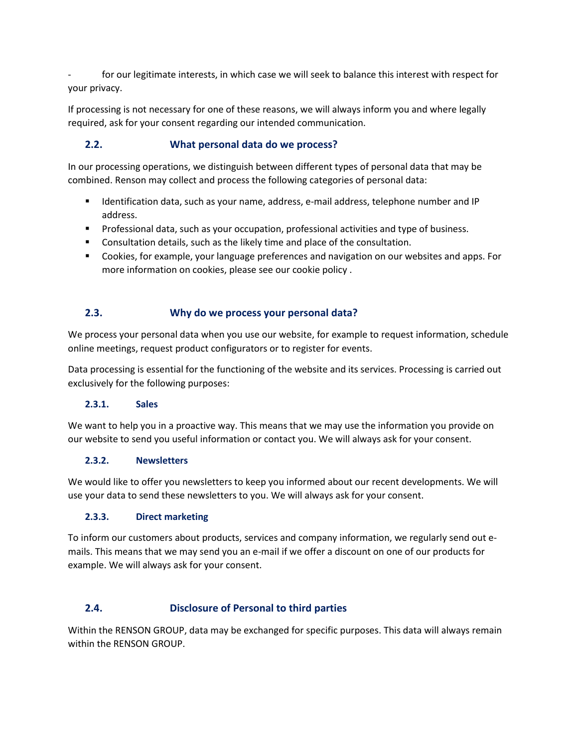for our legitimate interests, in which case we will seek to balance this interest with respect for your privacy.

If processing is not necessary for one of these reasons, we will always inform you and where legally required, ask for your consent regarding our intended communication.

## **2.2. What personal data do we process?**

In our processing operations, we distinguish between different types of personal data that may be combined. Renson may collect and process the following categories of personal data:

- Identification data, such as your name, address, e-mail address, telephone number and IP address.
- **•** Professional data, such as your occupation, professional activities and type of business.
- Consultation details, such as the likely time and place of the consultation.
- Cookies, for example, your language preferences and navigation on our websites and apps. For more information on cookies, please see our cookie policy .

# **2.3. Why do we process your personal data?**

We process your personal data when you use our website, for example to request information, schedule online meetings, request product configurators or to register for events.

Data processing is essential for the functioning of the website and its services. Processing is carried out exclusively for the following purposes:

#### **2.3.1. Sales**

We want to help you in a proactive way. This means that we may use the information you provide on our website to send you useful information or contact you. We will always ask for your consent.

#### **2.3.2. Newsletters**

We would like to offer you newsletters to keep you informed about our recent developments. We will use your data to send these newsletters to you. We will always ask for your consent.

#### **2.3.3. Direct marketing**

To inform our customers about products, services and company information, we regularly send out emails. This means that we may send you an e-mail if we offer a discount on one of our products for example. We will always ask for your consent.

#### **2.4. Disclosure of Personal to third parties**

Within the RENSON GROUP, data may be exchanged for specific purposes. This data will always remain within the RENSON GROUP.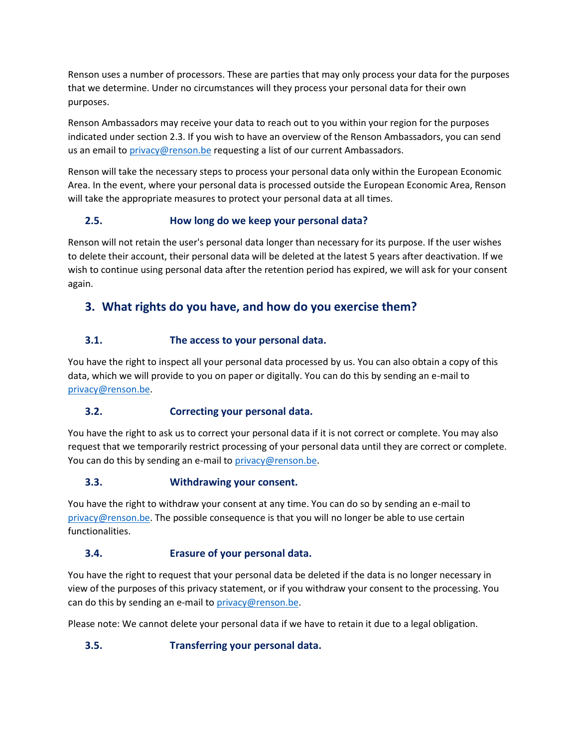Renson uses a number of processors. These are parties that may only process your data for the purposes that we determine. Under no circumstances will they process your personal data for their own purposes.

Renson Ambassadors may receive your data to reach out to you within your region for the purposes indicated under section 2.3. If you wish to have an overview of the Renson Ambassadors, you can send us an email to [privacy@renson.be](mailto:privacy@renson.be) requesting a list of our current Ambassadors.

Renson will take the necessary steps to process your personal data only within the European Economic Area. In the event, where your personal data is processed outside the European Economic Area, Renson will take the appropriate measures to protect your personal data at all times.

# **2.5. How long do we keep your personal data?**

Renson will not retain the user's personal data longer than necessary for its purpose. If the user wishes to delete their account, their personal data will be deleted at the latest 5 years after deactivation. If we wish to continue using personal data after the retention period has expired, we will ask for your consent again.

# **3. What rights do you have, and how do you exercise them?**

# **3.1. The access to your personal data.**

You have the right to inspect all your personal data processed by us. You can also obtain a copy of this data, which we will provide to you on paper or digitally. You can do this by sending an e-mail to [privacy@renson.be.](mailto:privacy@renson.be)

#### **3.2. Correcting your personal data.**

You have the right to ask us to correct your personal data if it is not correct or complete. You may also request that we temporarily restrict processing of your personal data until they are correct or complete. You can do this by sending an e-mail to [privacy@renson.be.](mailto:privacy@renson.be)

#### **3.3. Withdrawing your consent.**

You have the right to withdraw your consent at any time. You can do so by sending an e-mail to [privacy@renson.be.](mailto:privacy@renson.be) The possible consequence is that you will no longer be able to use certain functionalities.

#### **3.4. Erasure of your personal data.**

You have the right to request that your personal data be deleted if the data is no longer necessary in view of the purposes of this privacy statement, or if you withdraw your consent to the processing. You can do this by sending an e-mail t[o privacy@renson.be.](mailto:privacy@renson.be)

Please note: We cannot delete your personal data if we have to retain it due to a legal obligation.

# **3.5. Transferring your personal data.**